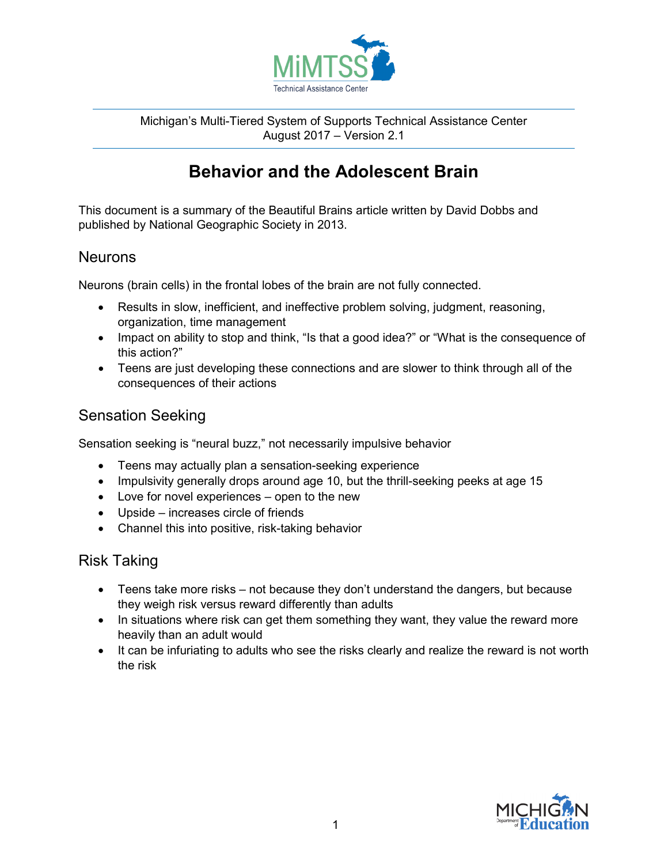

Michigan's Multi-Tiered System of Supports Technical Assistance Center August 2017 – Version 2.1

# **Behavior and the Adolescent Brain**

This document is a summary of the Beautiful Brains article written by David Dobbs and published by National Geographic Society in 2013.

### **Neurons**

Neurons (brain cells) in the frontal lobes of the brain are not fully connected.

- Results in slow, inefficient, and ineffective problem solving, judgment, reasoning, organization, time management
- Impact on ability to stop and think, "Is that a good idea?" or "What is the consequence of this action?"
- Teens are just developing these connections and are slower to think through all of the consequences of their actions

## Sensation Seeking

Sensation seeking is "neural buzz," not necessarily impulsive behavior

- Teens may actually plan a sensation-seeking experience
- Impulsivity generally drops around age 10, but the thrill-seeking peeks at age 15
- Love for novel experiences open to the new
- Upside increases circle of friends
- Channel this into positive, risk-taking behavior

### Risk Taking

- Teens take more risks not because they don't understand the dangers, but because they weigh risk versus reward differently than adults
- In situations where risk can get them something they want, they value the reward more heavily than an adult would
- It can be infuriating to adults who see the risks clearly and realize the reward is not worth the risk